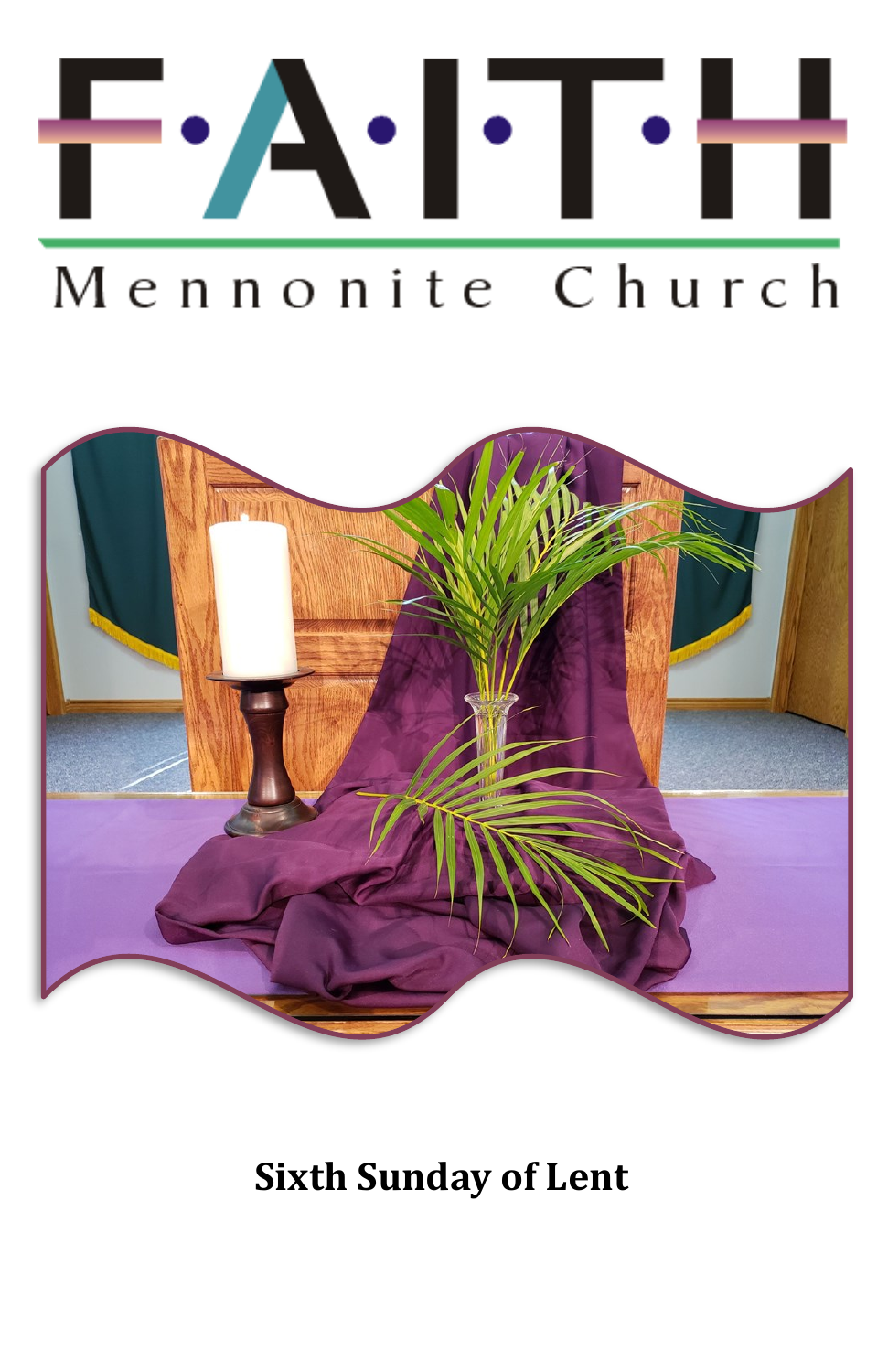

# Mennonite Church



**Sixth Sunday of Lent**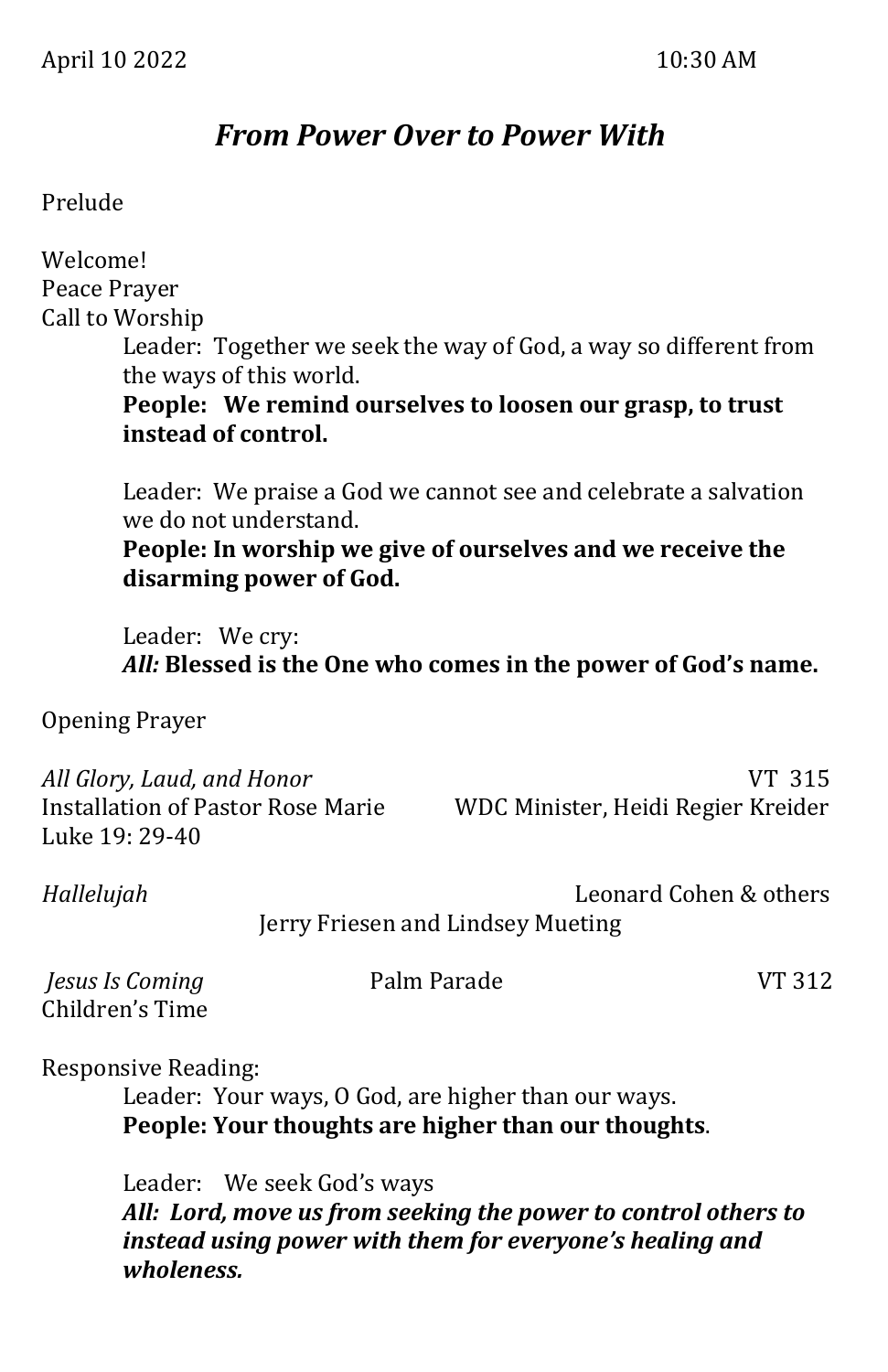## *From Power Over to Power With*

#### Prelude

| Welcome!                                                                                 |                                                  |                                                                                                                               |                        |
|------------------------------------------------------------------------------------------|--------------------------------------------------|-------------------------------------------------------------------------------------------------------------------------------|------------------------|
| Peace Prayer                                                                             |                                                  |                                                                                                                               |                        |
| Call to Worship<br>instead of control.                                                   | the ways of this world.                          | Leader: Together we seek the way of God, a way so different from<br>People: We remind ourselves to loosen our grasp, to trust |                        |
|                                                                                          | we do not understand.<br>disarming power of God. | Leader: We praise a God we cannot see and celebrate a salvation<br>People: In worship we give of ourselves and we receive the |                        |
| Leader: We cry:                                                                          |                                                  | All: Blessed is the One who comes in the power of God's name.                                                                 |                        |
| <b>Opening Prayer</b>                                                                    |                                                  |                                                                                                                               |                        |
| All Glory, Laud, and Honor<br><b>Installation of Pastor Rose Marie</b><br>Luke 19: 29-40 |                                                  | WDC Minister, Heidi Regier Kreider                                                                                            | VT 315                 |
| Hallelujah                                                                               |                                                  | Jerry Friesen and Lindsey Mueting                                                                                             | Leonard Cohen & others |
| Jesus Is Coming<br>Children's Time                                                       | Palm Parade                                      |                                                                                                                               | VT 312                 |
| <b>Responsive Reading:</b>                                                               |                                                  | Leader: Your ways, O God, are higher than our ways.<br>People: Your thoughts are higher than our thoughts.                    |                        |
|                                                                                          | Leader: We seek God's ways                       | All: Lord, move us from seeking the power to control others to                                                                |                        |

*instead using power with them for everyone's healing and wholeness.*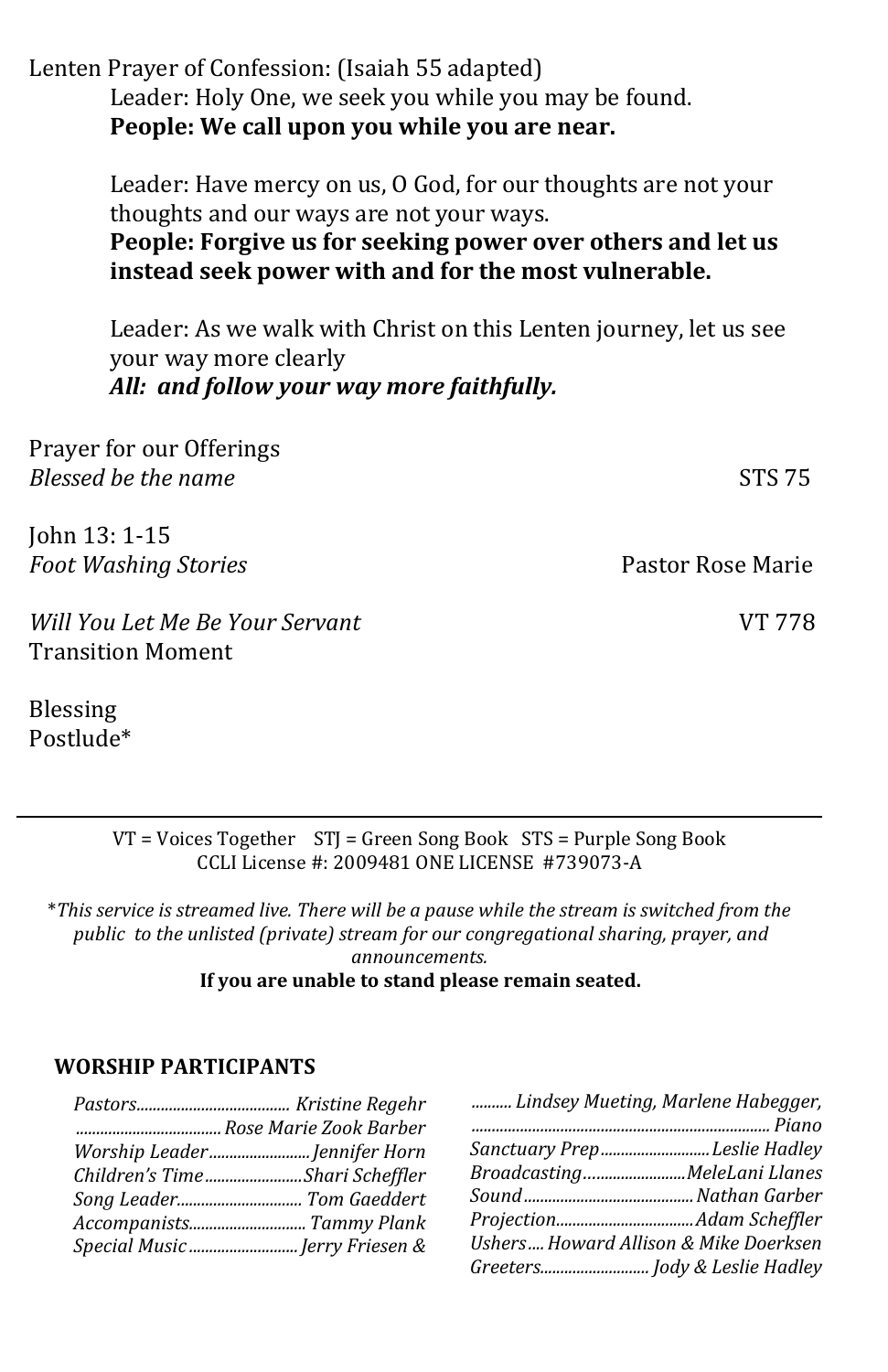Lenten Prayer of Confession: (Isaiah 55 adapted) Leader: Holy One, we seek you while you may be found. **People: We call upon you while you are near.**

> Leader: Have mercy on us, O God, for our thoughts are not your thoughts and our ways are not your ways.

> **People: Forgive us for seeking power over others and let us instead seek power with and for the most vulnerable.**

Leader: As we walk with Christ on this Lenten journey, let us see your way more clearly *All: and follow your way more faithfully.*

| Prayer for our Offerings                                    |                   |
|-------------------------------------------------------------|-------------------|
| Blessed be the name                                         | <b>STS 75</b>     |
| John 13: 1-15                                               |                   |
| <b>Foot Washing Stories</b>                                 | Pastor Rose Marie |
| Will You Let Me Be Your Servant<br><b>Transition Moment</b> | VT 778            |

Blessing Postlude\*

> VT = Voices Together STJ = Green Song Book STS = Purple Song Book CCLI License #: 2009481 ONE LICENSE #739073-A

\**This service is streamed live. There will be a pause while the stream is switched from the public to the unlisted (private) stream for our congregational sharing, prayer, and announcements.*  **If you are unable to stand please remain seated.**

#### **WORSHIP PARTICIPANTS**

|                                |                              | Lindsey Mueting, Marlene Habegger,    |
|--------------------------------|------------------------------|---------------------------------------|
|                                |                              |                                       |
|                                | Worship Leader Jennifer Horn | Sanctuary PrepLeslie Hadley           |
| Children's TimeShari Scheffler |                              | BroadcastingMeleLani Llanes           |
|                                |                              |                                       |
|                                |                              |                                       |
| Special Music Jerry Friesen &  |                              | Ushers Howard Allison & Mike Doerksen |
|                                |                              |                                       |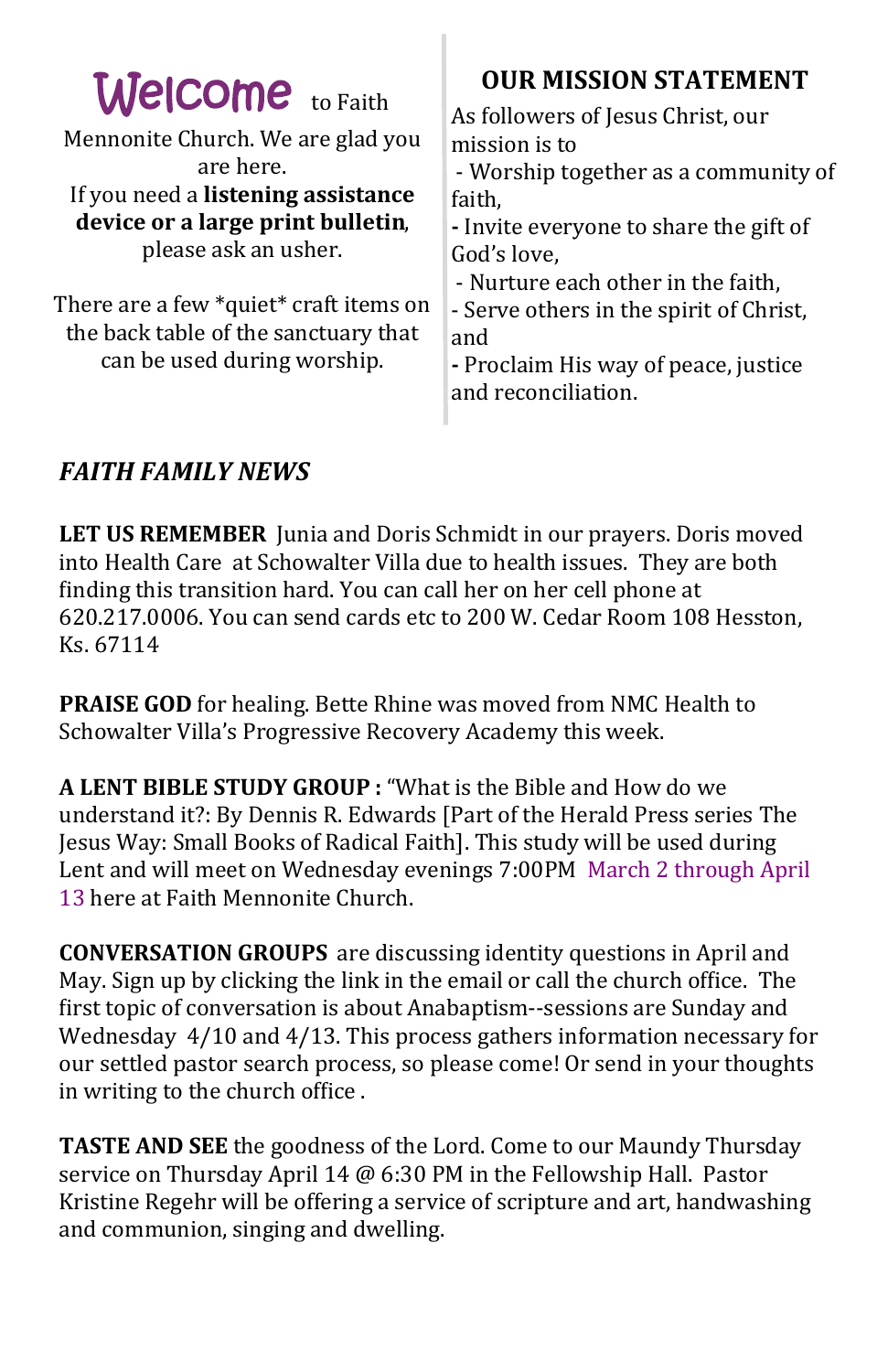| <b>Welcome</b> to Faith<br>Mennonite Church. We are glad you<br>are here.<br>If you need a listening assistance<br>device or a large print bulletin,<br>please ask an usher.<br>There are a few *quiet* craft items on<br>the back table of the sanctuary that<br>can be used during worship. | <b>OUR MISSION STATEMENT</b><br>As followers of Jesus Christ, our<br>mission is to<br>- Worship together as a community of<br>faith,<br>- Invite everyone to share the gift of<br>God's love,<br>- Nurture each other in the faith,<br>- Serve others in the spirit of Christ,<br>and<br>- Proclaim His way of peace, justice<br>and reconciliation. |
|-----------------------------------------------------------------------------------------------------------------------------------------------------------------------------------------------------------------------------------------------------------------------------------------------|------------------------------------------------------------------------------------------------------------------------------------------------------------------------------------------------------------------------------------------------------------------------------------------------------------------------------------------------------|
|                                                                                                                                                                                                                                                                                               |                                                                                                                                                                                                                                                                                                                                                      |

### *FAITH FAMILY NEWS*

**LET US REMEMBER** Junia and Doris Schmidt in our prayers. Doris moved into Health Care at Schowalter Villa due to health issues. They are both finding this transition hard. You can call her on her cell phone at 620.217.0006. You can send cards etc to 200 W. Cedar Room 108 Hesston, Ks. 67114

**PRAISE GOD** for healing. Bette Rhine was moved from NMC Health to Schowalter Villa's Progressive Recovery Academy this week.

**A LENT BIBLE STUDY GROUP :** "What is the Bible and How do we understand it?: By Dennis R. Edwards [Part of the Herald Press series The Jesus Way: Small Books of Radical Faith]. This study will be used during Lent and will meet on Wednesday evenings 7:00PM March 2 through April 13 here at Faith Mennonite Church.

**CONVERSATION GROUPS** are discussing identity questions in April and May. Sign up by clicking the link in the email or call the church office. The first topic of conversation is about Anabaptism--sessions are Sunday and Wednesday 4/10 and 4/13. This process gathers information necessary for our settled pastor search process, so please come! Or send in your thoughts in writing to the church office .

**TASTE AND SEE** the goodness of the Lord. Come to our Maundy Thursday service on Thursday April 14 @ 6:30 PM in the Fellowship Hall. Pastor [Kristine Regehr](mailto:pastor_kristine@faithmenno.org) will be offering a service of scripture and art, handwashing and communion, singing and dwelling.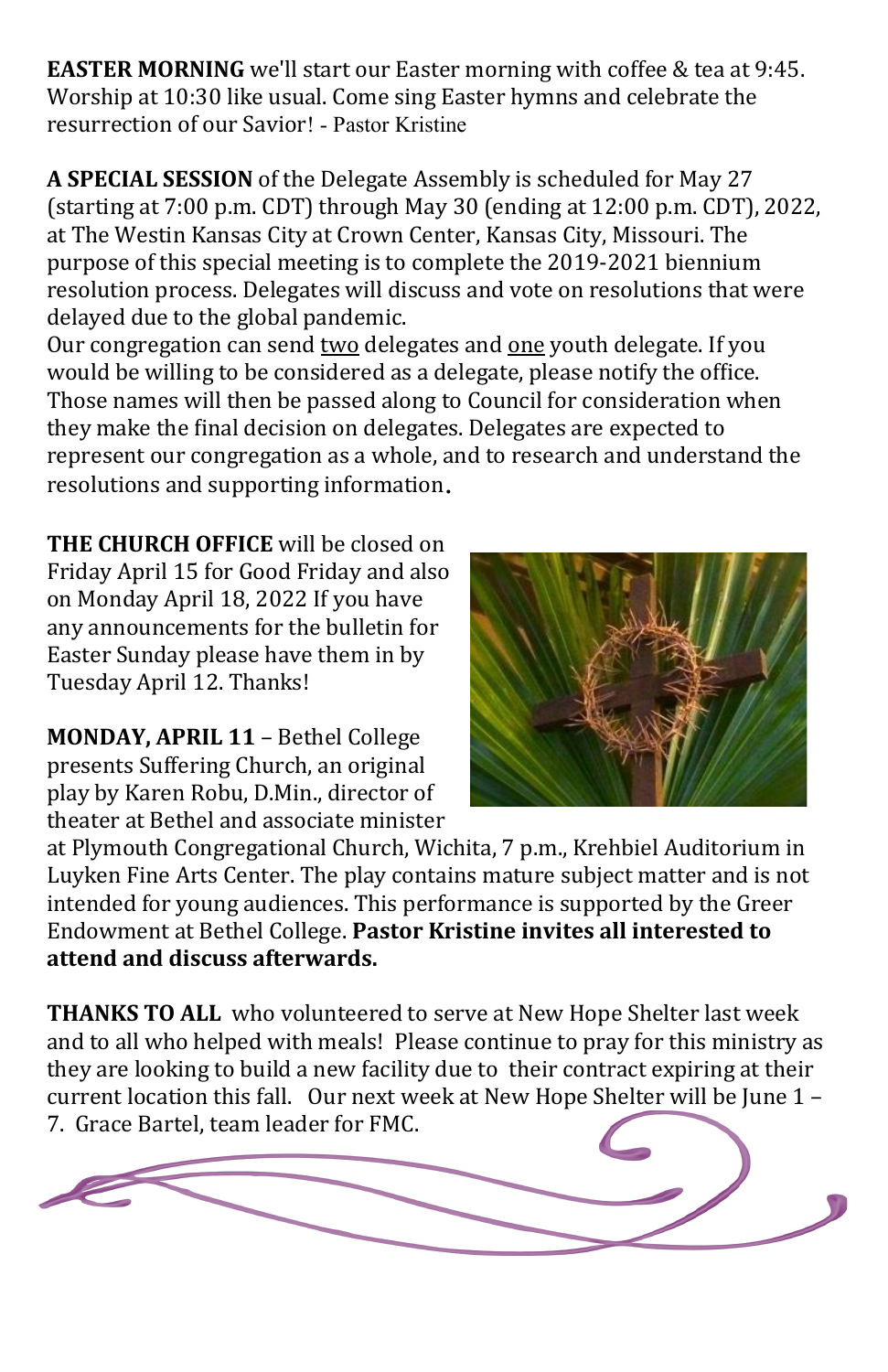**EASTER MORNING** we'll start our Easter morning with coffee & tea at 9:45. Worship at 10:30 like usual. Come sing Easter hymns and celebrate the resurrection of our Savior! - Pastor Kristine

**A SPECIAL SESSION** of the Delegate Assembly is scheduled for May 27 (starting at 7:00 p.m. CDT) through May 30 (ending at 12:00 p.m. CDT), 2022, at The Westin Kansas City at Crown Center, Kansas City, Missouri. The purpose of this special meeting is to complete the 2019-2021 biennium resolution process. Delegates will discuss and vote on resolutions that were delayed due to the global pandemic.

Our congregation can send two delegates and one youth delegate. If you would be willing to be considered as a delegate, please notify the office. Those names will then be passed along to Council for consideration when they make the final decision on delegates. Delegates are expected to represent our congregation as a whole, and to research and understand the resolutions and supporting information.

**THE CHURCH OFFICE** will be closed on Friday April 15 for Good Friday and also on Monday April 18, 2022 If you have any announcements for the bulletin for Easter Sunday please have them in by Tuesday April 12. Thanks!

**MONDAY, APRIL 11** – Bethel College presents Suffering Church, an original play by Karen Robu, D.Min., director of theater at Bethel and associate minister



at Plymouth Congregational Church, Wichita, 7 p.m., Krehbiel Auditorium in Luyken Fine Arts Center. The play contains mature subject matter and is not intended for young audiences. This performance is supported by the Greer Endowment at Bethel College. **Pastor Kristine invites all interested to attend and discuss afterwards.** 

**THANKS TO ALL** who volunteered to serve at New Hope Shelter last week and to all who helped with meals! Please continue to pray for this ministry as they are looking to build a new facility due to their contract expiring at their current location this fall. Our next week at New Hope Shelter will be June 1 – 7. Grace Bartel, team leader for FMC.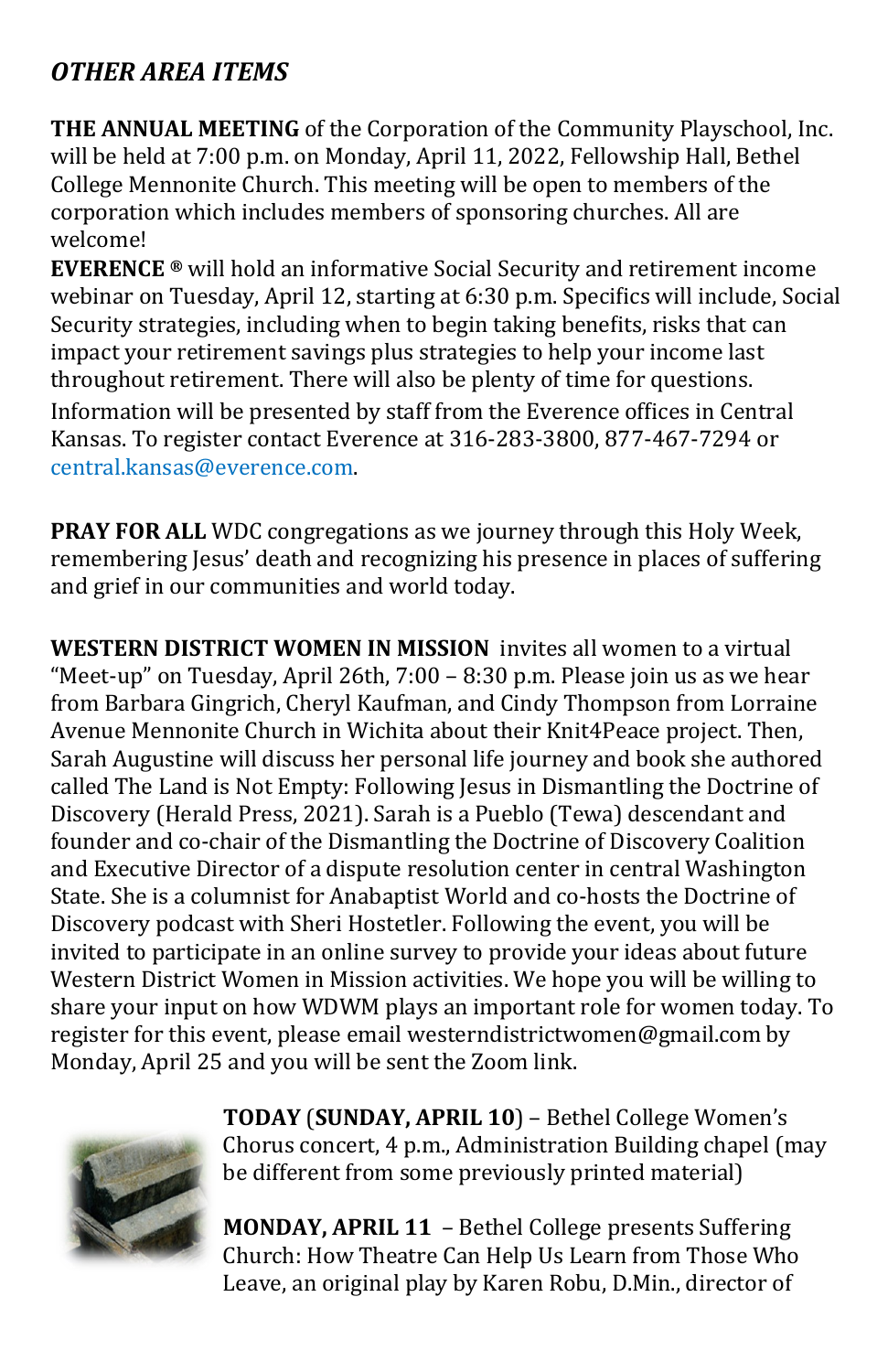## *OTHER AREA ITEMS*

**THE ANNUAL MEETING** of the Corporation of the Community Playschool, Inc. will be held at 7:00 p.m. on Monday, April 11, 2022, Fellowship Hall, Bethel College Mennonite Church. This meeting will be open to members of the corporation which includes members of sponsoring churches. All are welcome!

**EVERENCE ®** will hold an informative Social Security and retirement income webinar on Tuesday, April 12, starting at 6:30 p.m. Specifics will include, Social Security strategies, including when to begin taking benefits, risks that can impact your retirement savings plus strategies to help your income last throughout retirement. There will also be plenty of time for questions. Information will be presented by staff from the Everence offices in Central Kansas. To register contact Everence at 316-283-3800, 877-467-7294 or [central.kansas@everence.com.](mailto:central.kansas@everence.com)

**PRAY FOR ALL** WDC congregations as we journey through this Holy Week, remembering Jesus' death and recognizing his presence in places of suffering and grief in our communities and world today.

**WESTERN DISTRICT WOMEN IN MISSION** invites all women to a virtual "Meet-up" on Tuesday, April 26th, 7:00 – 8:30 p.m. Please join us as we hear from Barbara Gingrich, Cheryl Kaufman, and Cindy Thompson from Lorraine Avenue Mennonite Church in Wichita about their Knit4Peace project. Then, Sarah Augustine will discuss her personal life journey and book she authored called The Land is Not Empty: Following Jesus in Dismantling the Doctrine of Discovery (Herald Press, 2021). Sarah is a Pueblo (Tewa) descendant and founder and co-chair of the Dismantling the Doctrine of Discovery Coalition and Executive Director of a dispute resolution center in central Washington State. She is a columnist for Anabaptist World and co-hosts the Doctrine of Discovery podcast with Sheri Hostetler. Following the event, you will be invited to participate in an online survey to provide your ideas about future Western District Women in Mission activities. We hope you will be willing to share your input on how WDWM plays an important role for women today. To register for this event, please email westerndistrictwomen@gmail.com by Monday, April 25 and you will be sent the Zoom link.



**TODAY** (**SUNDAY, APRIL 10**) – Bethel College Women's Chorus concert, 4 p.m., Administration Building chapel (may be different from some previously printed material)

**MONDAY, APRIL 11** – Bethel College presents Suffering Church: How Theatre Can Help Us Learn from Those Who Leave, an original play by Karen Robu, D.Min., director of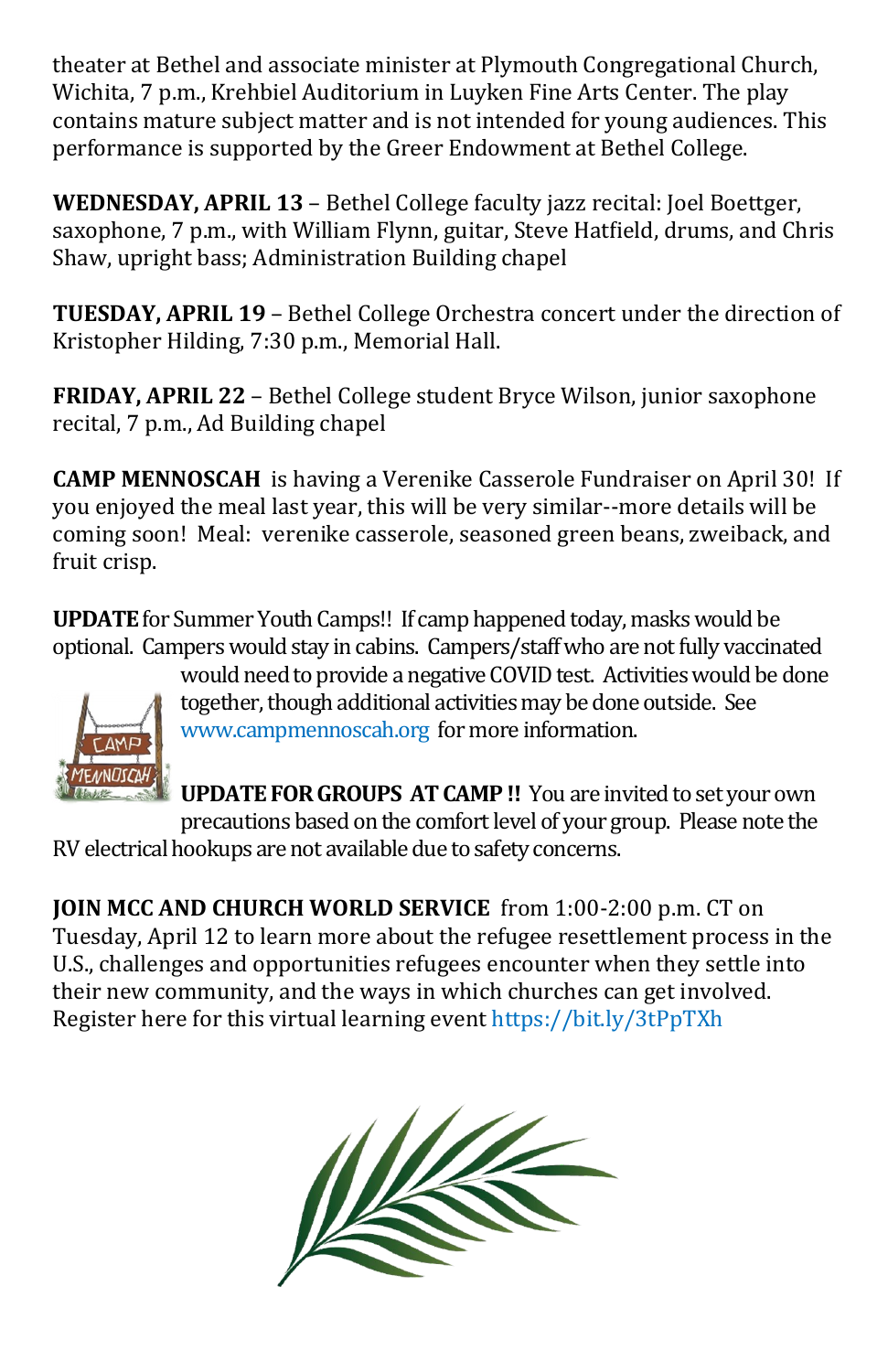theater at Bethel and associate minister at Plymouth Congregational Church, Wichita, 7 p.m., Krehbiel Auditorium in Luyken Fine Arts Center. The play contains mature subject matter and is not intended for young audiences. This performance is supported by the Greer Endowment at Bethel College.

**WEDNESDAY, APRIL 13** – Bethel College faculty jazz recital: Joel Boettger, saxophone, 7 p.m., with William Flynn, guitar, Steve Hatfield, drums, and Chris Shaw, upright bass; Administration Building chapel

**TUESDAY, APRIL 19** – Bethel College Orchestra concert under the direction of Kristopher Hilding, 7:30 p.m., Memorial Hall.

**FRIDAY, APRIL 22** – Bethel College student Bryce Wilson, junior saxophone recital, 7 p.m., Ad Building chapel

**CAMP MENNOSCAH** is having a Verenike Casserole Fundraiser on April 30! If you enjoyed the meal last year, this will be very similar--more details will be coming soon! Meal: verenike casserole, seasoned green beans, zweiback, and fruit crisp.

**UPDATE** for Summer Youth Camps!! If camp happened today, masks would be optional. Campers would stay in cabins. Campers/staff who are not fully vaccinated



would need to provide a negative COVID test. Activities would be done together, though additional activities may be done outside. See [www.campmennoscah.org](file://///www.campmennoscah.org) for more information.

**UPDATE FOR GROUPS AT CAMP !!** You are invited to set your own precautions based on the comfort level of your group. Please note the RV electrical hookups are not available due to safety concerns.

**JOIN MCC AND CHURCH WORLD SERVICE** from 1:00-2:00 p.m. CT on Tuesday, April 12 to learn more about the refugee resettlement process in the U.S., challenges and opportunities refugees encounter when they settle into their new community, and the ways in which churches can get involved. Register here for this virtual learning event [https://bit.ly/3tPpTXh](https://can01.safelinks.protection.outlook.com/?url=https%3A%2F%2Fbit.ly%2F3tPpTXh&data=04%7C01%7CTinaSchrag%40mcc.org%7C2745e2763ed64861783308da0ea9c3f7%7C169838f761344f5b8d1ab2d131856f52%7C0%7C0%7C637838419539142546%7CUnknown%7CTWFpbGZsb3d8eyJWIjoiMC4wLjAwM)